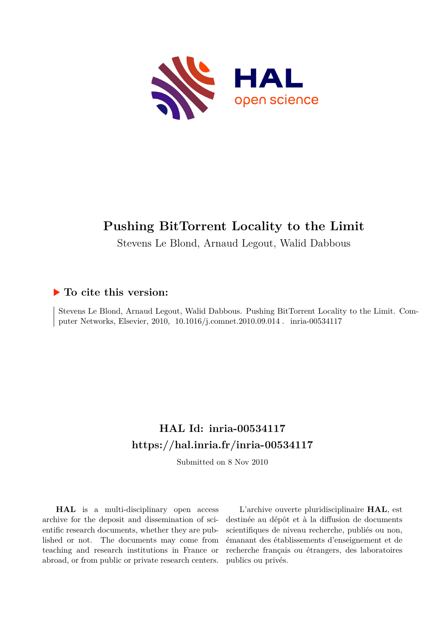

# **Pushing BitTorrent Locality to the Limit**

Stevens Le Blond, Arnaud Legout, Walid Dabbous

# **To cite this version:**

Stevens Le Blond, Arnaud Legout, Walid Dabbous. Pushing BitTorrent Locality to the Limit. Computer Networks, Elsevier, 2010, 10.1016/j.comnet.2010.09.014 . inria-00534117

# **HAL Id: inria-00534117 <https://hal.inria.fr/inria-00534117>**

Submitted on 8 Nov 2010

**HAL** is a multi-disciplinary open access archive for the deposit and dissemination of scientific research documents, whether they are published or not. The documents may come from teaching and research institutions in France or abroad, or from public or private research centers.

L'archive ouverte pluridisciplinaire **HAL**, est destinée au dépôt et à la diffusion de documents scientifiques de niveau recherche, publiés ou non, émanant des établissements d'enseignement et de recherche français ou étrangers, des laboratoires publics ou privés.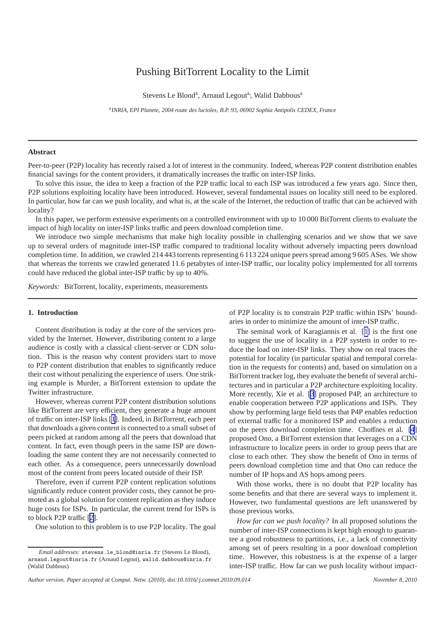# Pushing BitTorrent Locality to the Limit

Stevens Le Blond<sup>a</sup>, Arnaud Legout<sup>a</sup>, Walid Dabbous<sup>a</sup>

*a INRIA, EPI Planete, 2004 route des lucioles, B.P. 93, 06902 Sophia Antipolis CEDEX, France*

#### **Abstract**

Peer-to-peer (P2P) locality has recently raised a lot of interest in the community. Indeed, whereas P2P content distribution enables financial savings for the content providers, it dramatically increases the traffic on inter-ISP links.

To solve this issue, the idea to keep a fraction of the P2P traffic local to each ISP was introduced a few years ago. Since then, P2P solutions exploiting locality have been introduced. However, several fundamental issues on locality still need to be explored. In particular, how far can we push locality, and what is, at the scale of the Internet, the reduction of traffic that can be achieved with locality?

In this paper, we perform extensive experiments on a controlled environment with up to 10 000 BitTorrent clients to evaluate the impact of high locality on inter-ISP links traffic and peers download completion time.

We introduce two simple mechanisms that make high locality possible in challenging scenarios and we show that we save up to several orders of magnitude inter-ISP traffic compared to traditional locality without adversely impacting peers download completion time. In addition, we crawled 214 443 torrents representing 6 113 224 unique peers spread among 9 605 ASes. We show that whereas the torrents we crawled generated 11.6 petabytes of inter-ISP traffic, our locality policy implemented for all torrents could have reduced the global inter-ISP traffic by up to 40%.

*Keywords:* BitTorrent, locality, experiments, measurements

#### **1. Introduction**

Content distribution is today at the core of the services provided by the Internet. However, distributing content to a large audience is costly with a classical client-server or CDN solution. This is the reason why content providers start to move to P2P content distribution that enables to significantly reduce their cost without penalizing the experience of users. One striking example is Murder, a BitTorrent extension to update the Twitter infrastructure.

However, whereas current P2P content distribution solutions like BitTorrent are very efficient, they generate a huge amount of traffic on inter-ISP links [[1](#page-16-0)]. Indeed, in BitTorrent, each peer that downloads a given content is connected to a small subset of peers picked at random among all the peers that download that content. In fact, even though peers in the same ISP are downloading the same content they are not necessarily connected to each other. As a consequence, peers unnecessarily download most of the content from peers located outside of their ISP.

Therefore, even if current P2P content replication solutions significantly reduce content provider costs, they cannot be promoted as a global solution for content replication as they induce huge costs for ISPs. In particular, the current trend for ISPs is to block P2P traffic [[2](#page-16-0)].

One solution to this problem is to use P2P locality. The goal

of P2P locality is to constrain P2P traffic within ISPs' boundaries in order to minimize the amount of inter-ISP traffic.

The seminal work of Karagiannis et al. [[1\]](#page-16-0) is the first one to suggest the use of locality in a P2P system in order to reduce the load on inter-ISP links. They show on real traces the potential for locality (in particular spatial and temporal correlation in the requests for contents) and, based on simulation on a BitTorrent tracker log, they evaluate the benefit of several architectures and in particular a P2P architecture exploiting locality. More recently, Xie et al. [\[3](#page-16-0)] proposed P4P, an architecture to enable cooperation between P2P applications and ISPs. They show by performing large field tests that P4P enables reduction of external traffic for a monitored ISP and enables a reduction on the peers download completion time. Choffnes et al. [\[4](#page-16-0)] proposed Ono, a BitTorrent extension that leverages on a CDN infrastructure to localize peers in order to group peers that are close to each other. They show the benefit of Ono in terms of peers download completion time and that Ono can reduce the number of IP hops and AS hops among peers.

With those works, there is no doubt that P2P locality has some benefits and that there are several ways to implement it. However, two fundamental questions are left unanswered by those previous works.

*How far can we push locality?* In all proposed solutions the number of inter-ISP connections is kept high enough to guarantee a good robustness to partitions, i.e., a lack of connectivity among set of peers resulting in a poor download completion time. However, this robustness is at the expense of a larger inter-ISP traffic. How far can we push locality without impact-

*Email addresses:* stevens.le\_blond@inria.fr (Stevens Le Blond), arnaud.legout@inria.fr (Arnaud Legout), walid.dabbous@inria.fr (Walid Dabbous)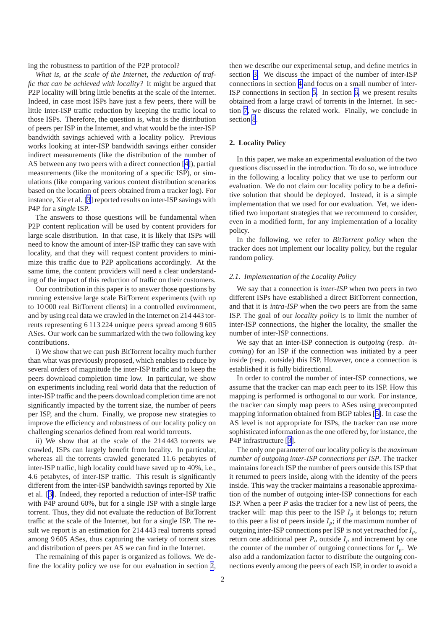<span id="page-2-0"></span>ing the robustness to partition of the P2P protocol?

*What is, at the scale of the Internet, the reduction of traffic that can be achieved with locality?* It might be argued that P2P locality will bring little benefits at the scale of the Internet. Indeed, in case most ISPs have just a few peers, there will be little inter-ISP traffic reduction by keeping the traffic local to those ISPs. Therefore, the question is, what is the distribution of peers per ISP in the Internet, and what would be the inter-ISP bandwidth savings achieved with a locality policy. Previous works looking at inter-ISP bandwidth savings either consider indirect measurements (like the distribution of the number of AS between any two peers with a direct connection [[4\]](#page-16-0)), partial measurements (like the monitoring of a specific ISP), or simulations (like comparing various content distribution scenarios based on the location of peers obtained from a tracker log). For instance, Xie et al. [\[3](#page-16-0)] reported results on inter-ISP savings with P4P for a *single* ISP.

The answers to those questions will be fundamental when P2P content replication will be used by content providers for large scale distribution. In that case, it is likely that ISPs will need to know the amount of inter-ISP traffic they can save with locality, and that they will request content providers to minimize this traffic due to P2P applications accordingly. At the same time, the content providers will need a clear understanding of the impact of this reduction of traffic on their customers.

Our contribution in this paper is to answer those questions by running extensive large scale BitTorrent experiments (with up to 10 000 real BitTorrent clients) in a controlled environment, and by using real data we crawled in the Internet on 214 443 torrents representing 6 113 224 unique peers spread among 9 605 ASes. Our work can be summarized with the two following key contributions.

i) We show that we can push BitTorrent locality much further than what was previously proposed, which enables to reduce by several orders of magnitude the inter-ISP traffic and to keep the peers download completion time low. In particular, we show on experiments including real world data that the reduction of inter-ISP traffic and the peers download completion time are not significantly impacted by the torrent size, the number of peers per ISP, and the churn. Finally, we propose new strategies to improve the efficiency and robustness of our locality policy on challenging scenarios defined from real world torrents.

ii) We show that at the scale of the 214 443 torrents we crawled, ISPs can largely benefit from locality. In particular, whereas all the torrents crawled generated 11.6 petabytes of inter-ISP traffic, high locality could have saved up to 40%, i.e., 4.6 petabytes, of inter-ISP traffic. This result is significantly different from the inter-ISP bandwidth savings reported by Xie et al. [[3\]](#page-16-0). Indeed, they reported a reduction of inter-ISP traffic with P4P around 60%, but for a single ISP with a single large torrent. Thus, they did not evaluate the reduction of BitTorrent traffic at the scale of the Internet, but for a single ISP. The result we report is an estimation for 214 443 real torrents spread among 9 605 ASes, thus capturing the variety of torrent sizes and distribution of peers per AS we can find in the Internet.

The remaining of this paper is organized as follows. We define the locality policy we use for our evaluation in section 2,

then we describe our experimental setup, and define metrics in section [3.](#page-4-0) We discuss the impact of the number of inter-ISP connections in section [4](#page-6-0) and focus on a small number of inter-ISP connections in section [5.](#page-8-0) In section [6,](#page-10-0) we present results obtained from a large crawl of torrents in the Internet. In section [7,](#page-15-0) we discuss the related work. Finally, we conclude in section [8](#page-16-0).

# **2. Locality Policy**

In this paper, we make an experimental evaluation of the two questions discussed in the introduction. To do so, we introduce in the following a locality policy that we use to perform our evaluation. We do not claim our locality policy to be a definitive solution that should be deployed. Instead, it is a simple implementation that we used for our evaluation. Yet, we identified two important strategies that we recommend to consider, even in a modified form, for any implementation of a locality policy.

In the following, we refer to *BitTorrent policy* when the tracker does not implement our locality policy, but the regular random policy.

## *2.1. Implementation of the Locality Policy*

We say that a connection is *inter-ISP* when two peers in two different ISPs have established a direct BitTorrent connection, and that it is *intra-ISP* when the two peers are from the same ISP. The goal of our *locality policy* is to limit the number of inter-ISP connections, the higher the locality, the smaller the number of inter-ISP connections.

We say that an inter-ISP connection is *outgoing* (resp. *incoming*) for an ISP if the connection was initiated by a peer inside (resp. outside) this ISP. However, once a connection is established it is fully bidirectional.

In order to control the number of inter-ISP connections, we assume that the tracker can map each peer to its ISP. How this mapping is performed is orthogonal to our work. For instance, the tracker can simply map peers to ASes using precomputed mapping information obtained from BGP tables [[5\]](#page-16-0). In case the AS level is not appropriate for ISPs, the tracker can use more sophisticated information as the one offered by, for instance, the P4P infrastructure [[3\]](#page-16-0).

The only one parameter of our locality policy is the *maximum number of outgoing inter-ISP connections per ISP*. The tracker maintains for each ISP the number of peers outside this ISP that it returned to peers inside, along with the identity of the peers inside. This way the tracker maintains a reasonable approximation of the number of outgoing inter-ISP connections for each ISP. When a peer *P* asks the tracker for a new list of peers, the tracker will: map this peer to the ISP  $I_p$  it belongs to; return to this peer a list of peers inside  $I_p$ ; if the maximum number of outgoing inter-ISP connections per ISP is not yet reached for *Ip*, return one additional peer  $P$ <sup>*o*</sup> outside  $I$ <sup>*p*</sup> and increment by one the counter of the number of outgoing connections for  $I_p$ . We also add a randomization factor to distribute the outgoing connections evenly among the peers of each ISP, in order to avoid a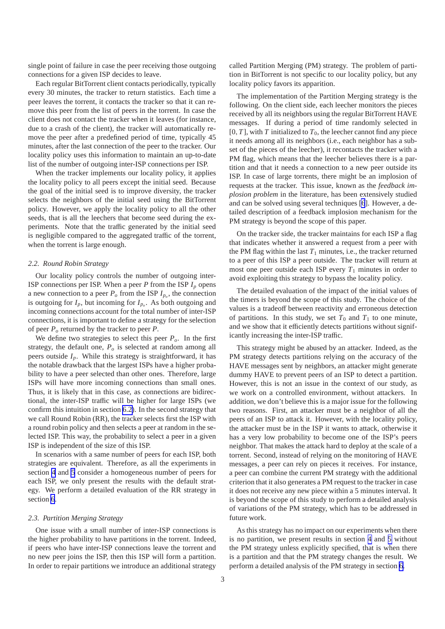<span id="page-3-0"></span>single point of failure in case the peer receiving those outgoing connections for a given ISP decides to leave.

Each regular BitTorrent client contacts periodically, typically every 30 minutes, the tracker to return statistics. Each time a peer leaves the torrent, it contacts the tracker so that it can remove this peer from the list of peers in the torrent. In case the client does not contact the tracker when it leaves (for instance, due to a crash of the client), the tracker will automatically remove the peer after a predefined period of time, typically 45 minutes, after the last connection of the peer to the tracker. Our locality policy uses this information to maintain an up-to-date list of the number of outgoing inter-ISP connections per ISP.

When the tracker implements our locality policy, it applies the locality policy to all peers except the initial seed. Because the goal of the initial seed is to improve diversity, the tracker selects the neighbors of the initial seed using the BitTorrent policy. However, we apply the locality policy to all the other seeds, that is all the leechers that become seed during the experiments. Note that the traffic generated by the initial seed is negligible compared to the aggregated traffic of the torrent, when the torrent is large enough.

#### *2.2. Round Robin Strategy*

Our locality policy controls the number of outgoing inter-ISP connections per ISP. When a peer *P* from the ISP *I<sup>p</sup>* opens a new connection to a peer  $P_o$  from the ISP  $I_{p_o}$ , the connection is outgoing for  $I_p$ , but incoming for  $I_{p<sub>o</sub>}$ . As both outgoing and incoming connections account for the total number of inter-ISP connections, it is important to define a strategy for the selection of peer *P<sup>o</sup>* returned by the tracker to peer *P*.

We define two strategies to select this peer  $P_o$ . In the first strategy, the default one, *P<sup>o</sup>* is selected at random among all peers outside *Ip*. While this strategy is straightforward, it has the notable drawback that the largest ISPs have a higher probability to have a peer selected than other ones. Therefore, large ISPs will have more incoming connections than small ones. Thus, it is likely that in this case, as connections are bidirectional, the inter-ISP traffic will be higher for large ISPs (we confirm this intuition in section [6.2\)](#page-12-0). In the second strategy that we call Round Robin (RR), the tracker selects first the ISP with a round robin policy and then selects a peer at random in the selected ISP. This way, the probability to select a peer in a given ISP is independent of the size of this ISP.

In scenarios with a same number of peers for each ISP, both strategies are equivalent. Therefore, as all the experiments in section [4](#page-6-0) and [5](#page-8-0) consider a homogeneous number of peers for each ISP, we only present the results with the default strategy. We perform a detailed evaluation of the RR strategy in section [6](#page-10-0).

#### *2.3. Partition Merging Strategy*

One issue with a small number of inter-ISP connections is the higher probability to have partitions in the torrent. Indeed, if peers who have inter-ISP connections leave the torrent and no new peer joins the ISP, then this ISP will form a partition. In order to repair partitions we introduce an additional strategy

called Partition Merging (PM) strategy. The problem of partition in BitTorrent is not specific to our locality policy, but any locality policy favors its apparition.

The implementation of the Partition Merging strategy is the following. On the client side, each leecher monitors the pieces received by all its neighbors using the regular BitTorrent HAVE messages. If during a period of time randomly selected in  $[0, T]$ , with *T* initialized to  $T<sub>0</sub>$ , the leecher cannot find any piece it needs among all its neighbors (i.e., each neighbor has a subset of the pieces of the leecher), it recontacts the tracker with a PM flag, which means that the leecher believes there is a partition and that it needs a connection to a new peer outside its ISP. In case of large torrents, there might be an implosion of requests at the tracker. This issue, known as the *feedback implosion problem* in the literature, has been extensively studied and can be solved using several techniques [\[6](#page-16-0)]. However, a detailed description of a feedback implosion mechanism for the PM strategy is beyond the scope of this paper.

On the tracker side, the tracker maintains for each ISP a flag that indicates whether it answered a request from a peer with the PM flag within the last  $T_1$  minutes, i.e., the tracker returned to a peer of this ISP a peer outside. The tracker will return at most one peer outside each ISP every  $T_1$  minutes in order to avoid exploiting this strategy to bypass the locality policy.

The detailed evaluation of the impact of the initial values of the timers is beyond the scope of this study. The choice of the values is a tradeoff between reactivity and erroneous detection of partitions. In this study, we set  $T_0$  and  $T_1$  to one minute, and we show that it efficiently detects partitions without significantly increasing the inter-ISP traffic.

This strategy might be abused by an attacker. Indeed, as the PM strategy detects partitions relying on the accuracy of the HAVE messages sent by neighbors, an attacker might generate dummy HAVE to prevent peers of an ISP to detect a partition. However, this is not an issue in the context of our study, as we work on a controlled environment, without attackers. In addition, we don't believe this is a major issue for the following two reasons. First, an attacker must be a neighbor of all the peers of an ISP to attack it. However, with the locality policy, the attacker must be in the ISP it wants to attack, otherwise it has a very low probability to become one of the ISP's peers neighbor. That makes the attack hard to deploy at the scale of a torrent. Second, instead of relying on the monitoring of HAVE messages, a peer can rely on pieces it receives. For instance, a peer can combine the current PM strategy with the additional criterion that it also generates a PM request to the tracker in case it does not receive any new piece within a 5 minutes interval. It is beyond the scope of this study to perform a detailed analysis of variations of the PM strategy, which has to be addressed in future work.

As this strategy has no impact on our experiments when there is no partition, we present results in section [4](#page-6-0) and [5](#page-8-0) without the PM strategy unless explicitly specified, that is when there is a partition and that the PM strategy changes the result. We perform a detailed analysis of the PM strategy in section [6.](#page-10-0)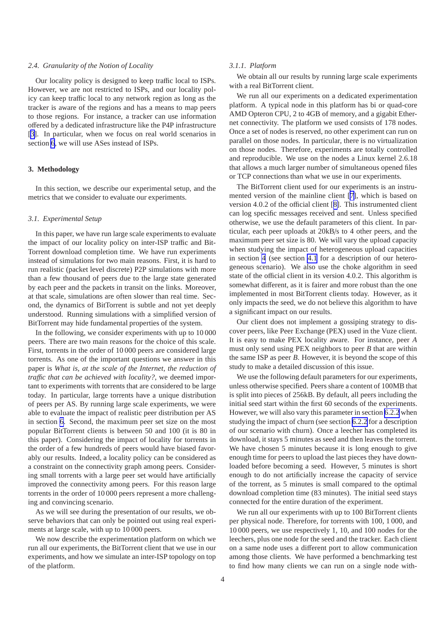#### <span id="page-4-0"></span>*2.4. Granularity of the Notion of Locality*

Our locality policy is designed to keep traffic local to ISPs. However, we are not restricted to ISPs, and our locality policy can keep traffic local to any network region as long as the tracker is aware of the regions and has a means to map peers to those regions. For instance, a tracker can use information offered by a dedicated infrastructure like the P4P infrastructure [[3\]](#page-16-0). In particular, when we focus on real world scenarios in section [6](#page-10-0), we will use ASes instead of ISPs.

# **3. Methodology**

In this section, we describe our experimental setup, and the metrics that we consider to evaluate our experiments.

#### *3.1. Experimental Setup*

In this paper, we have run large scale experiments to evaluate the impact of our locality policy on inter-ISP traffic and Bit-Torrent download completion time. We have run experiments instead of simulations for two main reasons. First, it is hard to run realistic (packet level discrete) P2P simulations with more than a few thousand of peers due to the large state generated by each peer and the packets in transit on the links. Moreover, at that scale, simulations are often slower than real time. Second, the dynamics of BitTorrent is subtle and not yet deeply understood. Running simulations with a simplified version of BitTorrent may hide fundamental properties of the system.

In the following, we consider experiments with up to 10 000 peers. There are two main reasons for the choice of this scale. First, torrents in the order of 10 000 peers are considered large torrents. As one of the important questions we answer in this paper is *What is, at the scale of the Internet, the reduction of tra*ffi*c that can be achieved with locality?*, we deemed important to experiments with torrents that are considered to be large today. In particular, large torrents have a unique distribution of peers per AS. By running large scale experiments, we were able to evaluate the impact of realistic peer distribution per AS in section [6](#page-10-0). Second, the maximum peer set size on the most popular BitTorrent clients is between 50 and 100 (it is 80 in this paper). Considering the impact of locality for torrents in the order of a few hundreds of peers would have biased favorably our results. Indeed, a locality policy can be considered as a constraint on the connectivity graph among peers. Considering small torrents with a large peer set would have artificially improved the connectivity among peers. For this reason large torrents in the order of 10 000 peers represent a more challenging and convincing scenario.

As we will see during the presentation of our results, we observe behaviors that can only be pointed out using real experiments at large scale, with up to 10 000 peers.

We now describe the experimentation platform on which we run all our experiments, the BitTorrent client that we use in our experiments, and how we simulate an inter-ISP topology on top of the platform.

#### *3.1.1. Platform*

We obtain all our results by running large scale experiments with a real BitTorrent client.

We run all our experiments on a dedicated experimentation platform. A typical node in this platform has bi or quad-core AMD Opteron CPU, 2 to 4GB of memory, and a gigabit Ethernet connectivity. The platform we used consists of 178 nodes. Once a set of nodes is reserved, no other experiment can run on parallel on those nodes. In particular, there is no virtualization on those nodes. Therefore, experiments are totally controlled and reproducible. We use on the nodes a Linux kernel 2.6.18 that allows a much larger number of simultaneous opened files or TCP connections than what we use in our experiments.

The BitTorrent client used for our experiments is an instrumented version of the mainline client [\[7](#page-16-0)], which is based on version 4.0.2 of the official client [[8\]](#page-16-0). This instrumented client can log specific messages received and sent. Unless specified otherwise, we use the default parameters of this client. In particular, each peer uploads at 20kB/s to 4 other peers, and the maximum peer set size is 80. We will vary the upload capacity when studying the impact of heterogeneous upload capacities in section [4](#page-6-0) (see section [4.1](#page-6-0) for a description of our heterogeneous scenario). We also use the choke algorithm in seed state of the official client in its version 4.0.2. This algorithm is somewhat different, as it is fairer and more robust than the one implemented in most BitTorrent clients today. However, as it only impacts the seed, we do not believe this algorithm to have a significant impact on our results.

Our client does not implement a gossiping strategy to discover peers, like Peer Exchange (PEX) used in the Vuze client. It is easy to make PEX locality aware. For instance, peer *A* must only send using PEX neighbors to peer *B* that are within the same ISP as peer *B*. However, it is beyond the scope of this study to make a detailed discussion of this issue.

We use the following default parameters for our experiments, unless otherwise specified. Peers share a content of 100MB that is split into pieces of 256kB. By default, all peers including the initial seed start within the first 60 seconds of the experiments. However, we will also vary this parameter in section [6.2.2](#page-13-0) when studying the impact of churn (see section [6.2.2](#page-13-0) for a description of our scenario with churn). Once a leecher has completed its download, it stays 5 minutes as seed and then leaves the torrent. We have chosen 5 minutes because it is long enough to give enough time for peers to upload the last pieces they have downloaded before becoming a seed. However, 5 minutes is short enough to do not artificially increase the capacity of service of the torrent, as 5 minutes is small compared to the optimal download completion time (83 minutes). The initial seed stays connected for the entire duration of the experiment.

We run all our experiments with up to 100 BitTorrent clients per physical node. Therefore, for torrents with 100, 1 000, and 10 000 peers, we use respectively 1, 10, and 100 nodes for the leechers, plus one node for the seed and the tracker. Each client on a same node uses a different port to allow communication among those clients. We have performed a benchmarking test to find how many clients we can run on a single node with-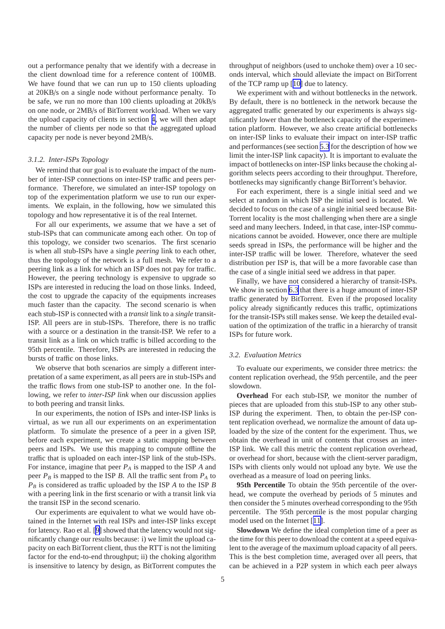out a performance penalty that we identify with a decrease in the client download time for a reference content of 100MB. We have found that we can run up to 150 clients uploading at 20KB/s on a single node without performance penalty. To be safe, we run no more than 100 clients uploading at 20kB/s on one node, or 2MB/s of BitTorrent workload. When we vary the upload capacity of clients in section [4,](#page-6-0) we will then adapt the number of clients per node so that the aggregated upload capacity per node is never beyond 2MB/s.

#### *3.1.2. Inter-ISPs Topology*

We remind that our goal is to evaluate the impact of the number of inter-ISP connections on inter-ISP traffic and peers performance. Therefore, we simulated an inter-ISP topology on top of the experimentation platform we use to run our experiments. We explain, in the following, how we simulated this topology and how representative it is of the real Internet.

For all our experiments, we assume that we have a set of stub-ISPs that can communicate among each other. On top of this topology, we consider two scenarios. The first scenario is when all stub-ISPs have a single *peering* link to each other, thus the topology of the network is a full mesh. We refer to a peering link as a link for which an ISP does not pay for traffic. However, the peering technology is expensive to upgrade so ISPs are interested in reducing the load on those links. Indeed, the cost to upgrade the capacity of the equipments increases much faster than the capacity. The second scenario is when each stub-ISP is connected with a *transit* link to a *single* transit-ISP. All peers are in stub-ISPs. Therefore, there is no traffic with a source or a destination in the transit-ISP. We refer to a transit link as a link on which traffic is billed according to the 95th percentile. Therefore, ISPs are interested in reducing the bursts of traffic on those links.

We observe that both scenarios are simply a different interpretation of a same experiment, as all peers are in stub-ISPs and the traffic flows from one stub-ISP to another one. In the following, we refer to *inter-ISP link* when our discussion applies to both peering and transit links.

In our experiments, the notion of ISPs and inter-ISP links is virtual, as we run all our experiments on an experimentation platform. To simulate the presence of a peer in a given ISP, before each experiment, we create a static mapping between peers and ISPs. We use this mapping to compute offline the traffic that is uploaded on each inter-ISP link of the stub-ISPs. For instance, imagine that peer *P<sup>A</sup>* is mapped to the ISP *A* and peer  $P_B$  is mapped to the ISP *B*. All the traffic sent from  $P_A$  to *P<sup>B</sup>* is considered as traffic uploaded by the ISP *A* to the ISP *B* with a peering link in the first scenario or with a transit link via the transit ISP in the second scenario.

Our experiments are equivalent to what we would have obtained in the Internet with real ISPs and inter-ISP links except for latency. Rao et al. [[9\]](#page-16-0) showed that the latency would not significantly change our results because: i) we limit the upload capacity on each BitTorrent client, thus the RTT is not the limiting factor for the end-to-end throughput; ii) the choking algorithm is insensitive to latency by design, as BitTorrent computes the

throughput of neighbors (used to unchoke them) over a 10 seconds interval, which should alleviate the impact on BitTorrent of the TCP ramp up [[10\]](#page-16-0) due to latency.

We experiment with and without bottlenecks in the network. By default, there is no bottleneck in the network because the aggregated traffic generated by our experiments is always significantly lower than the bottleneck capacity of the experimentation platform. However, we also create artificial bottlenecks on inter-ISP links to evaluate their impact on inter-ISP traffic and performances (see section [5.3](#page-9-0) for the description of how we limit the inter-ISP link capacity). It is important to evaluate the impact of bottlenecks on inter-ISP links because the choking algorithm selects peers according to their throughput. Therefore, bottlenecks may significantly change BitTorrent's behavior.

For each experiment, there is a single initial seed and we select at random in which ISP the initial seed is located. We decided to focus on the case of a single initial seed because Bit-Torrent locality is the most challenging when there are a single seed and many leechers. Indeed, in that case, inter-ISP communications cannot be avoided. However, once there are multiple seeds spread in ISPs, the performance will be higher and the inter-ISP traffic will be lower. Therefore, whatever the seed distribution per ISP is, that will be a more favorable case than the case of a single initial seed we address in that paper.

Finally, we have not considered a hierarchy of transit-ISPs. We show in section [6.3](#page-13-0) that there is a huge amount of inter-ISP traffic generated by BitTorrent. Even if the proposed locality policy already significantly reduces this traffic, optimizations for the transit-ISPs still makes sense. We keep the detailed evaluation of the optimization of the traffic in a hierarchy of transit ISPs for future work.

#### *3.2. Evaluation Metrics*

To evaluate our experiments, we consider three metrics: the content replication overhead, the 95th percentile, and the peer slowdown.

**Overhead** For each stub-ISP, we monitor the number of pieces that are uploaded from this stub-ISP to any other stub-ISP during the experiment. Then, to obtain the per-ISP content replication overhead, we normalize the amount of data uploaded by the size of the content for the experiment. Thus, we obtain the overhead in unit of contents that crosses an inter-ISP link. We call this metric the content replication overhead, or overhead for short, because with the client-server paradigm, ISPs with clients only would not upload any byte. We use the overhead as a measure of load on peering links.

**95th Percentile** To obtain the 95th percentile of the overhead, we compute the overhead by periods of 5 minutes and then consider the 5 minutes overhead corresponding to the 95th percentile. The 95th percentile is the most popular charging model used on the Internet [[11\]](#page-16-0).

**Slowdown** We define the ideal completion time of a peer as the time for this peer to download the content at a speed equivalent to the average of the maximum upload capacity of all peers. This is the best completion time, averaged over all peers, that can be achieved in a P2P system in which each peer always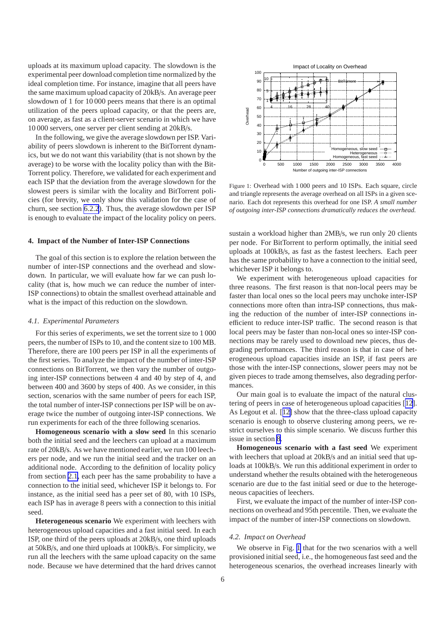<span id="page-6-0"></span>uploads at its maximum upload capacity. The slowdown is the experimental peer download completion time normalized by the ideal completion time. For instance, imagine that all peers have the same maximum upload capacity of 20kB/s. An average peer slowdown of 1 for 10 000 peers means that there is an optimal utilization of the peers upload capacity, or that the peers are, on average, as fast as a client-server scenario in which we have 10 000 servers, one server per client sending at 20kB/s.

In the following, we give the average slowdown per ISP. Variability of peers slowdown is inherent to the BitTorrent dynamics, but we do not want this variability (that is not shown by the average) to be worse with the locality policy than with the Bit-Torrent policy. Therefore, we validated for each experiment and each ISP that the deviation from the average slowdown for the slowest peers is similar with the locality and BitTorrent policies (for brevity, we only show this validation for the case of churn, see section [6.2.2](#page-13-0)). Thus, the average slowdown per ISP is enough to evaluate the impact of the locality policy on peers.

# **4. Impact of the Number of Inter-ISP Connections**

The goal of this section is to explore the relation between the number of inter-ISP connections and the overhead and slowdown. In particular, we will evaluate how far we can push locality (that is, how much we can reduce the number of inter-ISP connections) to obtain the smallest overhead attainable and what is the impact of this reduction on the slowdown.

#### *4.1. Experimental Parameters*

For this series of experiments, we set the torrent size to 1 000 peers, the number of ISPs to 10, and the content size to 100 MB. Therefore, there are 100 peers per ISP in all the experiments of the first series. To analyze the impact of the number of inter-ISP connections on BitTorrent, we then vary the number of outgoing inter-ISP connections between 4 and 40 by step of 4, and between 400 and 3600 by steps of 400. As we consider, in this section, scenarios with the same number of peers for each ISP, the total number of inter-ISP connections per ISP will be on average twice the number of outgoing inter-ISP connections. We run experiments for each of the three following scenarios.

**Homogeneous scenario with a slow seed** In this scenario both the initial seed and the leechers can upload at a maximum rate of 20kB/s. As we have mentioned earlier, we run 100 leechers per node, and we run the initial seed and the tracker on an additional node. According to the definition of locality policy from section [2.1,](#page-2-0) each peer has the same probability to have a connection to the initial seed, whichever ISP it belongs to. For instance, as the initial seed has a peer set of 80, with 10 ISPs, each ISP has in average 8 peers with a connection to this initial seed.

**Heterogeneous scenario** We experiment with leechers with heterogeneous upload capacities and a fast initial seed. In each ISP, one third of the peers uploads at 20kB/s, one third uploads at 50kB/s, and one third uploads at 100kB/s. For simplicity, we run all the leechers with the same upload capacity on the same node. Because we have determined that the hard drives cannot



Figure 1: Overhead with 1 000 peers and 10 ISPs. Each square, circle and triangle represents the average overhead on all ISPs in a given scenario. Each dot represents this overhead for one ISP. *A small number of outgoing inter-ISP connections dramatically reduces the overhead.*

sustain a workload higher than 2MB/s, we run only 20 clients per node. For BitTorrent to perform optimally, the initial seed uploads at 100kB/s, as fast as the fastest leechers. Each peer has the same probability to have a connection to the initial seed, whichever ISP it belongs to.

We experiment with heterogeneous upload capacities for three reasons. The first reason is that non-local peers may be faster than local ones so the local peers may unchoke inter-ISP connections more often than intra-ISP connections, thus making the reduction of the number of inter-ISP connections inefficient to reduce inter-ISP traffic. The second reason is that local peers may be faster than non-local ones so inter-ISP connections may be rarely used to download new pieces, thus degrading performances. The third reason is that in case of heterogeneous upload capacities inside an ISP, if fast peers are those with the inter-ISP connections, slower peers may not be given pieces to trade among themselves, also degrading performances.

Our main goal is to evaluate the impact of the natural clustering of peers in case of heterogeneous upload capacities [[12\]](#page-16-0). As Legout et al. [[12\]](#page-16-0) show that the three-class upload capacity scenario is enough to observe clustering among peers, we restrict ourselves to this simple scenario. We discuss further this issue in section [8](#page-16-0).

**Homogeneous scenario with a fast seed** We experiment with leechers that upload at 20kB/s and an initial seed that uploads at 100kB/s. We run this additional experiment in order to understand whether the results obtained with the heterogeneous scenario are due to the fast initial seed or due to the heterogeneous capacities of leechers.

First, we evaluate the impact of the number of inter-ISP connections on overhead and 95th percentile. Then, we evaluate the impact of the number of inter-ISP connections on slowdown.

#### *4.2. Impact on Overhead*

We observe in Fig. 1 that for the two scenarios with a well provisioned initial seed, i.e., the homogeneous fast seed and the heterogeneous scenarios, the overhead increases linearly with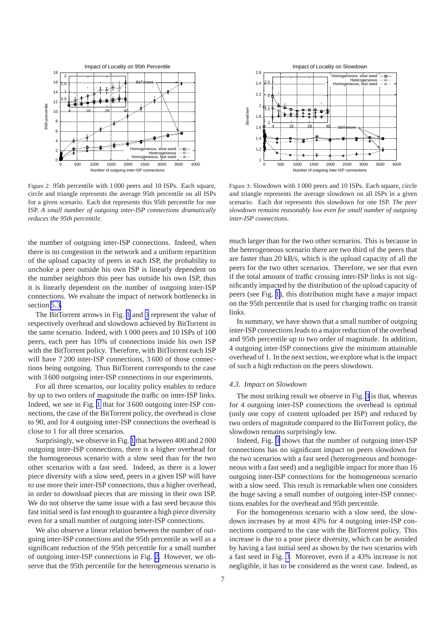

Figure 2: 95th percentile with 1 000 peers and 10 ISPs. Each square, circle and triangle represents the average 95th percentile on all ISPs for a given scenario. Each dot represents this 95th percentile for one ISP. *A small number of outgoing inter-ISP connections dramatically reduces the 95th percentile.*

the number of outgoing inter-ISP connections. Indeed, when there is no congestion in the network and a uniform repartition of the upload capacity of peers in each ISP, the probability to unchoke a peer outside his own ISP is linearly dependent on the number neighbors this peer has outside his own ISP, thus it is linearly dependent on the number of outgoing inter-ISP connections. We evaluate the impact of network bottlenecks in section [5.3.](#page-9-0)

The BitTorrent arrows in Fig. [1](#page-6-0) and 3 represent the value of respectively overhead and slowdown achieved by BitTorrent in the same scenario. Indeed, with 1 000 peers and 10 ISPs of 100 peers, each peer has 10% of connections inside his own ISP with the BitTorrent policy. Therefore, with BitTorrent each ISP will have 7 200 inter-ISP connections, 3 600 of those connections being outgoing. Thus BitTorrent corresponds to the case with 3 600 outgoing inter-ISP connections in our experiments.

For all three scenarios, our locality policy enables to reduce by up to two orders of magnitude the traffic on inter-ISP links. Indeed, we see in Fig. [1](#page-6-0) that for 3 600 outgoing inter-ISP connections, the case of the BitTorrent policy, the overhead is close to 90, and for 4 outgoing inter-ISP connections the overhead is close to 1 for all three scenarios.

Surprisingly, we observe in Fig. [1](#page-6-0) that between 400 and 2 000 outgoing inter-ISP connections, there is a higher overhead for the homogeneous scenario with a slow seed than for the two other scenarios with a fast seed. Indeed, as there is a lower piece diversity with a slow seed, peers in a given ISP will have to use more their inter-ISP connections, thus a higher overhead, in order to download pieces that are missing in their own ISP. We do not observe the same issue with a fast seed because this fast initial seed is fast enough to guarantee a high piece diversity even for a small number of outgoing inter-ISP connections.

We also observe a linear relation between the number of outgoing inter-ISP connections and the 95th percentile as well as a significant reduction of the 95th percentile for a small number of outgoing inter-ISP connections in Fig. 2. However, we observe that the 95th percentile for the heterogeneous scenario is



Figure 3: Slowdown with 1 000 peers and 10 ISPs. Each square, circle and triangle represents the average slowdown on all ISPs in a given scenario. Each dot represents this slowdown for one ISP. *The peer slowdown remains reasonably low even for small number of outgoing inter-ISP connections.*

much larger than for the two other scenarios. This is because in the heterogeneous scenario there are two third of the peers that are faster than 20 kB/s, which is the upload capacity of all the peers for the two other scenarios. Therefore, we see that even if the total amount of traffic crossing inter-ISP links is not significantly impacted by the distribution of the upload capacity of peers (see Fig. [1\)](#page-6-0), this distribution might have a major impact on the 95th percentile that is used for charging traffic on transit links.

In summary, we have shown that a small number of outgoing inter-ISP connections leads to a major reduction of the overhead and 95th percentile up to two order of magnitude. In addition, 4 outgoing inter-ISP connections give the minimum attainable overhead of 1. In the next section, we explore what is the impact of such a high reduction on the peers slowdown.

#### *4.3. Impact on Slowdown*

The most striking result we observe in Fig. 3 is that, whereas for 4 outgoing inter-ISP connections the overhead is optimal (only one copy of content uploaded per ISP) and reduced by two orders of magnitude compared to the BitTorrent policy, the slowdown remains surprisingly low.

Indeed, Fig. 3 shows that the number of outgoing inter-ISP connections has no significant impact on peers slowdown for the two scenarios with a fast seed (heterogeneous and homogeneous with a fast seed) and a negligible impact for more than 16 outgoing inter-ISP connections for the homogeneous scenario with a slow seed. This result is remarkable when one considers the huge saving a small number of outgoing inter-ISP connections enables for the overhead and 95th percentile.

For the homogeneous scenario with a slow seed, the slowdown increases by at most 43% for 4 outgoing inter-ISP connections compared to the case with the BitTorrent policy. This increase is due to a poor piece diversity, which can be avoided by having a fast initial seed as shown by the two scenarios with a fast seed in Fig. 3. Moreover, even if a 43% increase is not negligible, it has to be considered as the worst case. Indeed, as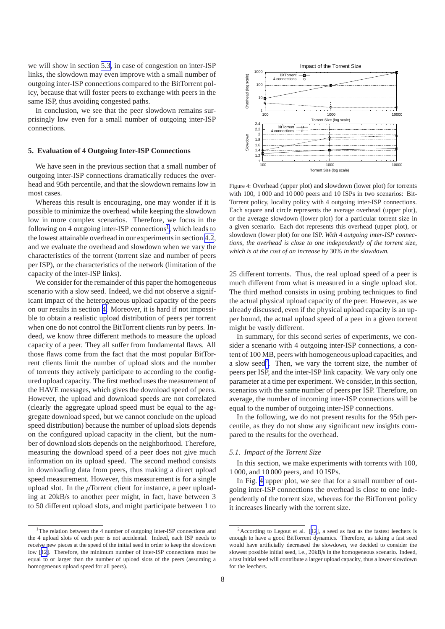<span id="page-8-0"></span>we will show in section [5.3,](#page-9-0) in case of congestion on inter-ISP links, the slowdown may even improve with a small number of outgoing inter-ISP connections compared to the BitTorrent policy, because that will foster peers to exchange with peers in the same ISP, thus avoiding congested paths.

In conclusion, we see that the peer slowdown remains surprisingly low even for a small number of outgoing inter-ISP connections.

## **5. Evaluation of 4 Outgoing Inter-ISP Connections**

We have seen in the previous section that a small number of outgoing inter-ISP connections dramatically reduces the overhead and 95th percentile, and that the slowdown remains low in most cases.

Whereas this result is encouraging, one may wonder if it is possible to minimize the overhead while keeping the slowdown low in more complex scenarios. Therefore, we focus in the following on 4 outgoing inter-ISP connections<sup>1</sup>, which leads to the lowest attainable overhead in our experiments in section [4.2](#page-6-0), and we evaluate the overhead and slowdown when we vary the characteristics of the torrent (torrent size and number of peers per ISP), or the characteristics of the network (limitation of the capacity of the inter-ISP links).

We consider for the remainder of this paper the homogeneous scenario with a slow seed. Indeed, we did not observe a significant impact of the heterogeneous upload capacity of the peers on our results in section [4.](#page-6-0) Moreover, it is hard if not impossible to obtain a realistic upload distribution of peers per torrent when one do not control the BitTorrent clients run by peers. Indeed, we know three different methods to measure the upload capacity of a peer. They all suffer from fundamental flaws. All those flaws come from the fact that the most popular BitTorrent clients limit the number of upload slots and the number of torrents they actively participate to according to the configured upload capacity. The first method uses the measurement of the HAVE messages, which gives the download speed of peers. However, the upload and download speeds are not correlated (clearly the aggregate upload speed must be equal to the aggregate download speed, but we cannot conclude on the upload speed distribution) because the number of upload slots depends on the configured upload capacity in the client, but the number of download slots depends on the neighborhood. Therefore, measuring the download speed of a peer does not give much information on its upload speed. The second method consists in downloading data from peers, thus making a direct upload speed measurement. However, this measurement is for a single upload slot. In the  $\mu$ Torrent client for instance, a peer uploading at 20kB/s to another peer might, in fact, have between 3 to 50 different upload slots, and might participate between 1 to



Figure 4: Overhead (upper plot) and slowdown (lower plot) for torrents with 100, 1 000 and 10 000 peers and 10 ISPs in two scenarios: Bit-Torrent policy, locality policy with 4 outgoing inter-ISP connections. Each square and circle represents the average overhead (upper plot), or the average slowdown (lower plot) for a particular torrent size in a given scenario. Each dot represents this overhead (upper plot), or slowdown (lower plot) for one ISP. *With* 4 *outgoing inter-ISP connections, the overhead is close to one independently of the torrent size, which is at the cost of an increase by* 30% *in the slowdown.*

25 different torrents. Thus, the real upload speed of a peer is much different from what is measured in a single upload slot. The third method consists in using probing techniques to find the actual physical upload capacity of the peer. However, as we already discussed, even if the physical upload capacity is an upper bound, the actual upload speed of a peer in a given torrent might be vastly different.

In summary, for this second series of experiments, we consider a scenario with 4 outgoing inter-ISP connections, a content of 100 MB, peers with homogeneous upload capacities, and a slow seed<sup>2</sup>. Then, we vary the torrent size, the number of peers per ISP, and the inter-ISP link capacity. We vary only one parameter at a time per experiment. We consider, in this section, scenarios with the same number of peers per ISP. Therefore, on average, the number of incoming inter-ISP connections will be equal to the number of outgoing inter-ISP connections.

In the following, we do not present results for the 95th percentile, as they do not show any significant new insights compared to the results for the overhead.

#### *5.1. Impact of the Torrent Size*

In this section, we make experiments with torrents with 100, 1 000, and 10 000 peers, and 10 ISPs.

In Fig. 4 upper plot, we see that for a small number of outgoing inter-ISP connections the overhead is close to one independently of the torrent size, whereas for the BitTorrent policy it increases linearly with the torrent size.

 $1$ The relation between the 4 number of outgoing inter-ISP connections and the 4 upload slots of each peer is not accidental. Indeed, each ISP needs to receive new pieces at the speed of the initial seed in order to keep the slowdown low [[12\]](#page-16-0). Therefore, the minimum number of inter-ISP connections must be equal to or larger than the number of upload slots of the peers (assuming a homogeneous upload speed for all peers).

 $2$ According to Legout et al. [[12](#page-16-0)], a seed as fast as the fastest leechers is enough to have a good BitTorrent dynamics. Therefore, as taking a fast seed would have artificially decreased the slowdown, we decided to consider the slowest possible initial seed, i.e., 20kB/s in the homogeneous scenario. Indeed, a fast initial seed will contribute a larger upload capacity, thus a lower slowdown for the leechers.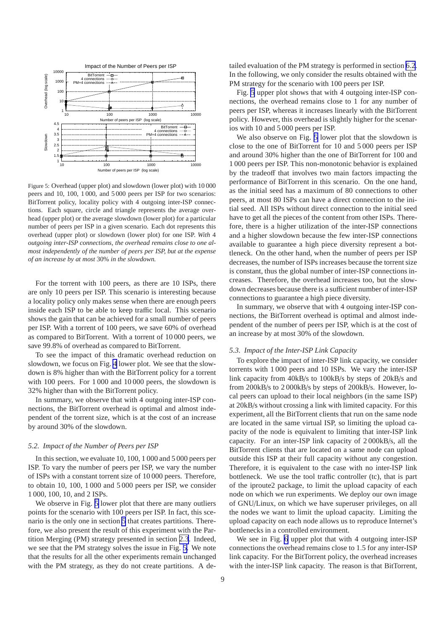<span id="page-9-0"></span>

Figure 5: Overhead (upper plot) and slowdown (lower plot) with 10 000 peers and 10, 100, 1 000, and 5 000 peers per ISP for two scenarios: BitTorrent policy, locality policy with 4 outgoing inter-ISP connections. Each square, circle and triangle represents the average overhead (upper plot) or the average slowdown (lower plot) for a particular number of peers per ISP in a given scenario. Each dot represents this overhead (upper plot) or slowdown (lower plot) for one ISP. *With* 4 *outgoing inter-ISP connections, the overhead remains close to one almost independently of the number of peers per ISP, but at the expense of an increase by at most* 30% *in the slowdown.*

For the torrent with 100 peers, as there are 10 ISPs, there are only 10 peers per ISP. This scenario is interesting because a locality policy only makes sense when there are enough peers inside each ISP to be able to keep traffic local. This scenario shows the gain that can be achieved for a small number of peers per ISP. With a torrent of 100 peers, we save 60% of overhead as compared to BitTorrent. With a torrent of 10 000 peers, we save 99.8% of overhead as compared to BitTorrent.

To see the impact of this dramatic overhead reduction on slowdown, we focus on Fig. [4](#page-8-0) lower plot. We see that the slowdown is 8% higher than with the BitTorrent policy for a torrent with 100 peers. For 1 000 and 10 000 peers, the slowdown is 32% higher than with the BitTorrent policy.

In summary, we observe that with 4 outgoing inter-ISP connections, the BitTorrent overhead is optimal and almost independent of the torrent size, which is at the cost of an increase by around 30% of the slowdown.

### *5.2. Impact of the Number of Peers per ISP*

In this section, we evaluate 10, 100, 1 000 and 5 000 peers per ISP. To vary the number of peers per ISP, we vary the number of ISPs with a constant torrent size of 10 000 peers. Therefore, to obtain 10, 100, 1 000 and 5 000 peers per ISP, we consider 1 000, 100, 10, and 2 ISPs.

We observe in Fig. 5 lower plot that there are many outliers points for the scenario with 100 peers per ISP. In fact, this scenario is the only one in section [5](#page-8-0) that creates partitions. Therefore, we also present the result of this experiment with the Partition Merging (PM) strategy presented in section [2.3](#page-3-0). Indeed, we see that the PM strategy solves the issue in Fig. 5. We note that the results for all the other experiments remain unchanged with the PM strategy, as they do not create partitions. A de-

tailed evaluation of the PM strategy is performed in section [6.2](#page-12-0). In the following, we only consider the results obtained with the PM strategy for the scenario with 100 peers per ISP.

Fig. 5 upper plot shows that with 4 outgoing inter-ISP connections, the overhead remains close to 1 for any number of peers per ISP, whereas it increases linearly with the BitTorrent policy. However, this overhead is slightly higher for the scenarios with 10 and 5 000 peers per ISP.

We also observe on Fig. 5 lower plot that the slowdown is close to the one of BitTorrent for 10 and 5 000 peers per ISP and around 30% higher than the one of BitTorrent for 100 and 1 000 peers per ISP. This non-monotonic behavior is explained by the tradeoff that involves two main factors impacting the performance of BitTorrent in this scenario. On the one hand, as the initial seed has a maximum of 80 connections to other peers, at most 80 ISPs can have a direct connection to the initial seed. All ISPs without direct connection to the initial seed have to get all the pieces of the content from other ISPs. Therefore, there is a higher utilization of the inter-ISP connections and a higher slowdown because the few inter-ISP connections available to guarantee a high piece diversity represent a bottleneck. On the other hand, when the number of peers per ISP decreases, the number of ISPs increases because the torrent size is constant, thus the global number of inter-ISP connections increases. Therefore, the overhead increases too, but the slowdown decreases because there is a sufficient number of inter-ISP connections to guarantee a high piece diversity.

In summary, we observe that with 4 outgoing inter-ISP connections, the BitTorrent overhead is optimal and almost independent of the number of peers per ISP, which is at the cost of an increase by at most 30% of the slowdown.

# *5.3. Impact of the Inter-ISP Link Capacity*

To explore the impact of inter-ISP link capacity, we consider torrents with 1 000 peers and 10 ISPs. We vary the inter-ISP link capacity from 40kB/s to 100kB/s by steps of 20kB/s and from 200kB/s to 2 000kB/s by steps of 200kB/s. However, local peers can upload to their local neighbors (in the same ISP) at 20kB/s without crossing a link with limited capacity. For this experiment, all the BitTorrent clients that run on the same node are located in the same virtual ISP, so limiting the upload capacity of the node is equivalent to limiting that inter-ISP link capacity. For an inter-ISP link capacity of 2 000kB/s, all the BitTorrent clients that are located on a same node can upload outside this ISP at their full capacity without any congestion. Therefore, it is equivalent to the case with no inter-ISP link bottleneck. We use the tool traffic controller (tc), that is part of the iproute2 package, to limit the upload capacity of each node on which we run experiments. We deploy our own image of GNU/Linux, on which we have superuser privileges, on all the nodes we want to limit the upload capacity. Limiting the upload capacity on each node allows us to reproduce Internet's bottlenecks in a controlled environment.

We see in Fig. [6](#page-10-0) upper plot that with 4 outgoing inter-ISP connections the overhead remains close to 1.5 for any inter-ISP link capacity. For the BitTorrent policy, the overhead increases with the inter-ISP link capacity. The reason is that BitTorrent,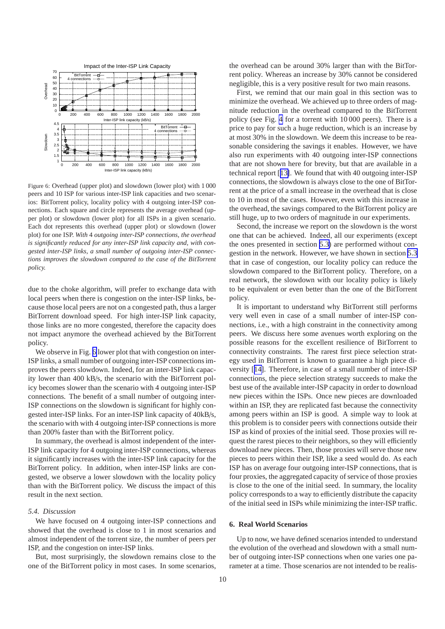<span id="page-10-0"></span>

Figure 6: Overhead (upper plot) and slowdown (lower plot) with 1 000 peers and 10 ISP for various inter-ISP link capacities and two scenarios: BitTorrent policy, locality policy with 4 outgoing inter-ISP connections. Each square and circle represents the average overhead (upper plot) or slowdown (lower plot) for all ISPs in a given scenario. Each dot represents this overhead (upper plot) or slowdown (lower plot) for one ISP. *With* 4 *outgoing inter-ISP connections, the overhead is significantly reduced for any inter-ISP link capacity and, with congested inter-ISP links, a small number of outgoing inter-ISP connections improves the slowdown compared to the case of the BitTorrent policy.*

due to the choke algorithm, will prefer to exchange data with local peers when there is congestion on the inter-ISP links, because those local peers are not on a congested path, thus a larger BitTorrent download speed. For high inter-ISP link capacity, those links are no more congested, therefore the capacity does not impact anymore the overhead achieved by the BitTorrent policy.

We observe in Fig. 6 lower plot that with congestion on inter-ISP links, a small number of outgoing inter-ISP connectionsimproves the peers slowdown. Indeed, for an inter-ISP link capacity lower than 400 kB/s, the scenario with the BitTorrent policy becomes slower than the scenario with 4 outgoing inter-ISP connections. The benefit of a small number of outgoing inter-ISP connections on the slowdown is significant for highly congested inter-ISP links. For an inter-ISP link capacity of 40kB/s, the scenario with with 4 outgoing inter-ISP connections is more than 200% faster than with the BitTorrent policy.

In summary, the overhead is almost independent of the inter-ISP link capacity for 4 outgoing inter-ISP connections, whereas it significantly increases with the inter-ISP link capacity for the BitTorrent policy. In addition, when inter-ISP links are congested, we observe a lower slowdown with the locality policy than with the BitTorrent policy. We discuss the impact of this result in the next section.

# *5.4. Discussion*

We have focused on 4 outgoing inter-ISP connections and showed that the overhead is close to 1 in most scenarios and almost independent of the torrent size, the number of peers per ISP, and the congestion on inter-ISP links.

But, most surprisingly, the slowdown remains close to the one of the BitTorrent policy in most cases. In some scenarios,

the overhead can be around 30% larger than with the BitTorrent policy. Whereas an increase by 30% cannot be considered negligible, this is a very positive result for two main reasons.

First, we remind that our main goal in this section was to minimize the overhead. We achieved up to three orders of magnitude reduction in the overhead compared to the BitTorrent policy (see Fig. [4](#page-8-0) for a torrent with 10 000 peers). There is a price to pay for such a huge reduction, which is an increase by at most 30% in the slowdown. We deem this increase to be reasonable considering the savings it enables. However, we have also run experiments with 40 outgoing inter-ISP connections that are not shown here for brevity, but that are available in a technical report [[13\]](#page-16-0). We found that with 40 outgoing inter-ISP connections, the slowdown is always close to the one of BitTorrent at the price of a small increase in the overhead that is close to 10 in most of the cases. However, even with this increase in the overhead, the savings compared to the BitTorrent policy are still huge, up to two orders of magnitude in our experiments.

Second, the increase we report on the slowdown is the worst one that can be achieved. Indeed, all our experiments (except the ones presented in section [5.3\)](#page-9-0) are performed without congestion in the network. However, we have shown in section [5.3](#page-9-0) that in case of congestion, our locality policy can reduce the slowdown compared to the BitTorrent policy. Therefore, on a real network, the slowdown with our locality policy is likely to be equivalent or even better than the one of the BitTorrent policy.

It is important to understand why BitTorrent still performs very well even in case of a small number of inter-ISP connections, i.e., with a high constraint in the connectivity among peers. We discuss here some avenues worth exploring on the possible reasons for the excellent resilience of BitTorrent to connectivity constraints. The rarest first piece selection strategy used in BitTorrent is known to guarantee a high piece diversity [[14\]](#page-16-0). Therefore, in case of a small number of inter-ISP connections, the piece selection strategy succeeds to make the best use of the available inter-ISP capacity in order to download new pieces within the ISPs. Once new pieces are downloaded within an ISP, they are replicated fast because the connectivity among peers within an ISP is good. A simple way to look at this problem is to consider peers with connections outside their ISP as kind of proxies of the initial seed. Those proxies will request the rarest pieces to their neighbors, so they will efficiently download new pieces. Then, those proxies will serve those new pieces to peers within their ISP, like a seed would do. As each ISP has on average four outgoing inter-ISP connections, that is four proxies, the aggregated capacity of service of those proxies is close to the one of the initial seed. In summary, the locality policy corresponds to a way to efficiently distribute the capacity of the initial seed in ISPs while minimizing the inter-ISP traffic.

#### **6. Real World Scenarios**

Up to now, we have defined scenarios intended to understand the evolution of the overhead and slowdown with a small number of outgoing inter-ISP connections when one varies one parameter at a time. Those scenarios are not intended to be realis-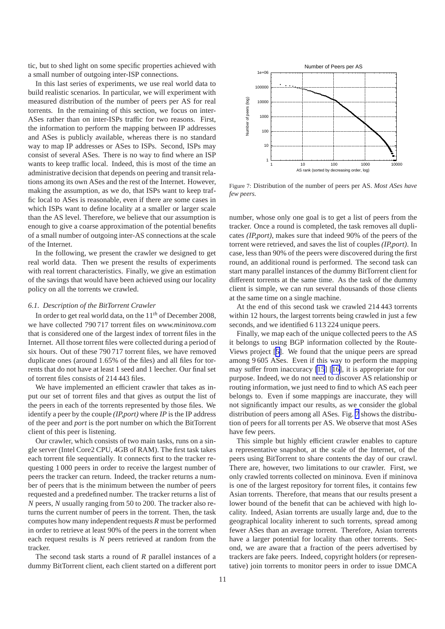tic, but to shed light on some specific properties achieved with a small number of outgoing inter-ISP connections.

In this last series of experiments, we use real world data to build realistic scenarios. In particular, we will experiment with measured distribution of the number of peers per AS for real torrents. In the remaining of this section, we focus on inter-ASes rather than on inter-ISPs traffic for two reasons. First, the information to perform the mapping between IP addresses and ASes is publicly available, whereas there is no standard way to map IP addresses or ASes to ISPs. Second, ISPs may consist of several ASes. There is no way to find where an ISP wants to keep traffic local. Indeed, this is most of the time an administrative decision that depends on peering and transit relations among its own ASes and the rest of the Internet. However, making the assumption, as we do, that ISPs want to keep traffic local to ASes is reasonable, even if there are some cases in which ISPs want to define locality at a smaller or larger scale than the AS level. Therefore, we believe that our assumption is enough to give a coarse approximation of the potential benefits of a small number of outgoing inter-AS connections at the scale of the Internet.

In the following, we present the crawler we designed to get real world data. Then we present the results of experiments with real torrent characteristics. Finally, we give an estimation of the savings that would have been achieved using our locality policy on all the torrents we crawled.

#### *6.1. Description of the BitTorrent Crawler*

In order to get real world data, on the 11*th* of December 2008, we have collected 790 717 torrent files on *www.mininova.com* that is considered one of the largest index of torrent files in the Internet. All those torrent files were collected during a period of six hours. Out of these 790 717 torrent files, we have removed duplicate ones (around 1.65% of the files) and all files for torrents that do not have at least 1 seed and 1 leecher. Our final set of torrent files consists of 214 443 files.

We have implemented an efficient crawler that takes as input our set of torrent files and that gives as output the list of the peers in each of the torrents represented by those files. We identify a peer by the couple *(IP,port)* where *IP* is the IP address of the peer and *port* is the port number on which the BitTorrent client of this peer is listening.

Our crawler, which consists of two main tasks, runs on a single server (Intel Core2 CPU, 4GB of RAM). The first task takes each torrent file sequentially. It connects first to the tracker requesting 1 000 peers in order to receive the largest number of peers the tracker can return. Indeed, the tracker returns a number of peers that is the minimum between the number of peers requested and a predefined number. The tracker returns a list of *N* peers, *N* usually ranging from 50 to 200. The tracker also returns the current number of peers in the torrent. Then, the task computes how many independent requests *R* must be performed in order to retrieve at least 90% of the peers in the torrent when each request results is *N* peers retrieved at random from the tracker.

The second task starts a round of *R* parallel instances of a dummy BitTorrent client, each client started on a different port



Figure 7: Distribution of the number of peers per AS. *Most ASes have few peers.*

number, whose only one goal is to get a list of peers from the tracker. Once a round is completed, the task removes all duplicates *(IP,port)*, makes sure that indeed 90% of the peers of the torrent were retrieved, and saves the list of couples *(IP,port)*. In case, less than 90% of the peers were discovered during the first round, an additional round is performed. The second task can start many parallel instances of the dummy BitTorrent client for different torrents at the same time. As the task of the dummy client is simple, we can run several thousands of those clients at the same time on a single machine.

At the end of this second task we crawled 214 443 torrents within 12 hours, the largest torrents being crawled in just a few seconds, and we identified 6 113 224 unique peers.

Finally, we map each of the unique collected peers to the AS it belongs to using BGP information collected by the Route-Views project [[5\]](#page-16-0). We found that the unique peers are spread among 9 605 ASes. Even if this way to perform the mapping may suffer from inaccuracy [\[15](#page-16-0)] [[16\]](#page-16-0), it is appropriate for our purpose. Indeed, we do not need to discover AS relationship or routing information, we just need to find to which AS each peer belongs to. Even if some mappings are inaccurate, they will not significantly impact our results, as we consider the global distribution of peers among all ASes. Fig. 7 shows the distribution of peers for all torrents per AS. We observe that most ASes have few peers.

This simple but highly efficient crawler enables to capture a representative snapshot, at the scale of the Internet, of the peers using BitTorrent to share contents the day of our crawl. There are, however, two limitations to our crawler. First, we only crawled torrents collected on mininova. Even if mininova is one of the largest repository for torrent files, it contains few Asian torrents. Therefore, that means that our results present a lower bound of the benefit that can be achieved with high locality. Indeed, Asian torrents are usually large and, due to the geographical locality inherent to such torrents, spread among fewer ASes than an average torrent. Therefore, Asian torrents have a larger potential for locality than other torrents. Second, we are aware that a fraction of the peers advertised by trackers are fake peers. Indeed, copyright holders (or representative) join torrents to monitor peers in order to issue DMCA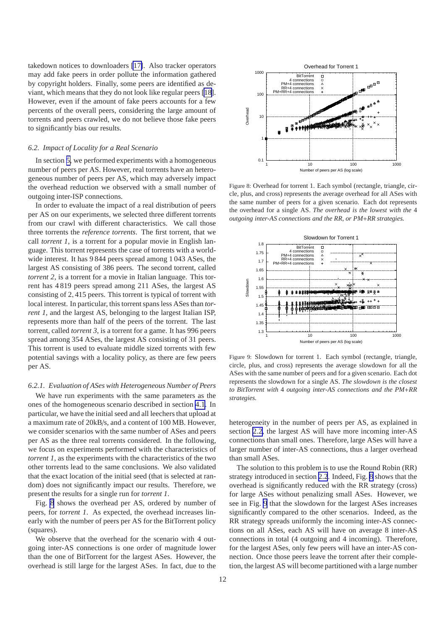<span id="page-12-0"></span>takedown notices to downloaders [\[17\]](#page-16-0). Also tracker operators may add fake peers in order pollute the information gathered by copyright holders. Finally, some peers are identified as deviant, which means that they do not look like regular peers [[18\]](#page-16-0). However, even if the amount of fake peers accounts for a few percents of the overall peers, considering the large amount of torrents and peers crawled, we do not believe those fake peers to significantly bias our results.

#### *6.2. Impact of Locality for a Real Scenario*

In section [5,](#page-8-0) we performed experiments with a homogeneous number of peers per AS. However, real torrents have an heterogeneous number of peers per AS, which may adversely impact the overhead reduction we observed with a small number of outgoing inter-ISP connections.

In order to evaluate the impact of a real distribution of peers per AS on our experiments, we selected three different torrents from our crawl with different characteristics. We call those three torrents the *reference torrents*. The first torrent, that we call *torrent 1*, is a torrent for a popular movie in English language. This torrent represents the case of torrents with a worldwide interest. It has 9 844 peers spread among 1 043 ASes, the largest AS consisting of 386 peers. The second torrent, called *torrent 2*, is a torrent for a movie in Italian language. This torrent has 4 819 peers spread among 211 ASes, the largest AS consisting of 2, 415 peers. This torrent is typical of torrent with local interest. In particular, this torrent spans less ASes than *torrent 1*, and the largest AS, belonging to the largest Italian ISP, represents more than half of the peers of the torrent. The last torrent, called *torrent 3*, is a torrent for a game. It has 996 peers spread among 354 ASes, the largest AS consisting of 31 peers. This torrent is used to evaluate middle sized torrents with few potential savings with a locality policy, as there are few peers per AS.

#### *6.2.1. Evaluation of ASes with Heterogeneous Number of Peers*

We have run experiments with the same parameters as the ones of the homogeneous scenario described in section [4.1.](#page-6-0) In particular, we have the initial seed and all leechers that upload at a maximum rate of 20kB/s, and a content of 100 MB. However, we consider scenarios with the same number of ASes and peers per AS as the three real torrents considered. In the following, we focus on experiments performed with the characteristics of *torrent 1*, as the experiments with the characteristics of the two other torrents lead to the same conclusions. We also validated that the exact location of the initial seed (that is selected at random) does not significantly impact our results. Therefore, we present the results for a single run for *torrent 1*.

Fig. 8 shows the overhead per AS, ordered by number of peers, for *torrent 1*. As expected, the overhead increases linearly with the number of peers per AS for the BitTorrent policy (squares).

We observe that the overhead for the scenario with 4 outgoing inter-AS connections is one order of magnitude lower than the one of BitTorrent for the largest ASes. However, the overhead is still large for the largest ASes. In fact, due to the



Figure 8: Overhead for torrent 1. Each symbol (rectangle, triangle, circle, plus, and cross) represents the average overhead for all ASes with the same number of peers for a given scenario. Each dot represents the overhead for a single AS. *The overhead is the lowest with the* 4 *outgoing inter-AS connections and the RR, or PM*+*RR strategies.*



Figure 9: Slowdown for torrent 1. Each symbol (rectangle, triangle, circle, plus, and cross) represents the average slowdown for all the ASes with the same number of peers and for a given scenario. Each dot represents the slowdown for a single AS. *The slowdown is the closest to BitTorrent with* 4 *outgoing inter-AS connections and the PM*+*RR strategies.*

heterogeneity in the number of peers per AS, as explained in section [2.2,](#page-3-0) the largest AS will have more incoming inter-AS connections than small ones. Therefore, large ASes will have a larger number of inter-AS connections, thus a larger overhead than small ASes.

The solution to this problem is to use the Round Robin (RR) strategy introduced in section [2.2](#page-3-0). Indeed, Fig. 8 shows that the overhead is significantly reduced with the RR strategy (cross) for large ASes without penalizing small ASes. However, we see in Fig. 9 that the slowdown for the largest ASes increases significantly compared to the other scenarios. Indeed, as the RR strategy spreads uniformly the incoming inter-AS connections on all ASes, each AS will have on average 8 inter-AS connections in total (4 outgoing and 4 incoming). Therefore, for the largest ASes, only few peers will have an inter-AS connection. Once those peers leave the torrent after their completion, the largest AS will become partitioned with a large number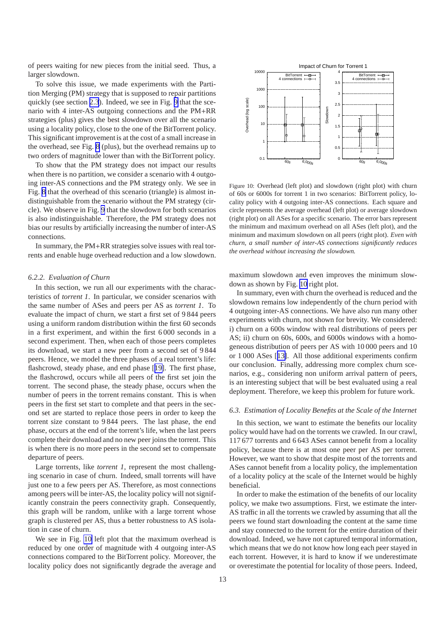<span id="page-13-0"></span>of peers waiting for new pieces from the initial seed. Thus, a larger slowdown.

To solve this issue, we made experiments with the Partition Merging (PM) strategy that is supposed to repair partitions quickly (see section [2.3](#page-3-0)). Indeed, we see in Fig. [9](#page-12-0) that the scenario with 4 inter-AS outgoing connections and the PM+RR strategies (plus) gives the best slowdown over all the scenario using a locality policy, close to the one of the BitTorrent policy. This significant improvement is at the cost of a small increase in the overhead, see Fig. [8](#page-12-0) (plus), but the overhead remains up to two orders of magnitude lower than with the BitTorrent policy.

To show that the PM strategy does not impact our results when there is no partition, we consider a scenario with 4 outgoing inter-AS connections and the PM strategy only. We see in Fig. [8](#page-12-0) that the overhead of this scenario (triangle) is almost indistinguishable from the scenario without the PM strategy (circle). We observe in Fig. [9](#page-12-0) that the slowdown for both scenarios is also indistinguishable. Therefore, the PM strategy does not bias our results by artificially increasing the number of inter-AS connections.

In summary, the PM+RR strategies solve issues with real torrents and enable huge overhead reduction and a low slowdown.

# *6.2.2. Evaluation of Churn*

In this section, we run all our experiments with the characteristics of *torrent 1*. In particular, we consider scenarios with the same number of ASes and peers per AS as *torrent 1*. To evaluate the impact of churn, we start a first set of 9 844 peers using a uniform random distribution within the first 60 seconds in a first experiment, and within the first 6 000 seconds in a second experiment. Then, when each of those peers completes its download, we start a new peer from a second set of 9 844 peers. Hence, we model the three phases of a real torrent's life: flashcrowd, steady phase, and end phase [[19\]](#page-16-0). The first phase, the flashcrowd, occurs while all peers of the first set join the torrent. The second phase, the steady phase, occurs when the number of peers in the torrent remains constant. This is when peers in the first set start to complete and that peers in the second set are started to replace those peers in order to keep the torrent size constant to 9 844 peers. The last phase, the end phase, occurs at the end of the torrent's life, when the last peers complete their download and no new peer joins the torrent. This is when there is no more peers in the second set to compensate departure of peers.

Large torrents, like *torrent 1*, represent the most challenging scenario in case of churn. Indeed, small torrents will have just one to a few peers per AS. Therefore, as most connections among peers will be inter-AS, the locality policy will not significantly constrain the peers connectivity graph. Consequently, this graph will be random, unlike with a large torrent whose graph is clustered per AS, thus a better robustness to AS isolation in case of churn.

We see in Fig. 10 left plot that the maximum overhead is reduced by one order of magnitude with 4 outgoing inter-AS connections compared to the BitTorrent policy. Moreover, the locality policy does not significantly degrade the average and



Figure 10: Overhead (left plot) and slowdown (right plot) with churn of 60s or 6000s for torrent 1 in two scenarios: BitTorrent policy, locality policy with 4 outgoing inter-AS connections. Each square and circle represents the average overhead (left plot) or average slowdown (right plot) on all ASes for a specific scenario. The error bars represent the minimum and maximum overhead on all ASes (left plot), and the minimum and maximum slowdown on all peers (right plot). *Even with churn, a small number of inter-AS connections significantly reduces the overhead without increasing the slowdown.*

maximum slowdown and even improves the minimum slowdown as shown by Fig. 10 right plot.

In summary, even with churn the overhead is reduced and the slowdown remains low independently of the churn period with 4 outgoing inter-AS connections. We have also run many other experiments with churn, not shown for brevity. We considered: i) churn on a 600s window with real distributions of peers per AS; ii) churn on 60s, 600s, and 6000s windows with a homogeneous distribution of peers per AS with 10 000 peers and 10 or 1 000 ASes [[13\]](#page-16-0). All those additional experiments confirm our conclusion. Finally, addressing more complex churn scenarios, e.g., considering non uniform arrival pattern of peers, is an interesting subject that will be best evaluated using a real deployment. Therefore, we keep this problem for future work.

#### *6.3. Estimation of Locality Benefits at the Scale of the Internet*

In this section, we want to estimate the benefits our locality policy would have had on the torrents we crawled. In our crawl, 117 677 torrents and 6 643 ASes cannot benefit from a locality policy, because there is at most one peer per AS per torrent. However, we want to show that despite most of the torrents and ASes cannot benefit from a locality policy, the implementation of a locality policy at the scale of the Internet would be highly beneficial.

In order to make the estimation of the benefits of our locality policy, we make two assumptions. First, we estimate the inter-AS traffic in all the torrents we crawled by assuming that all the peers we found start downloading the content at the same time and stay connected to the torrent for the entire duration of their download. Indeed, we have not captured temporal information, which means that we do not know how long each peer stayed in each torrent. However, it is hard to know if we underestimate or overestimate the potential for locality of those peers. Indeed,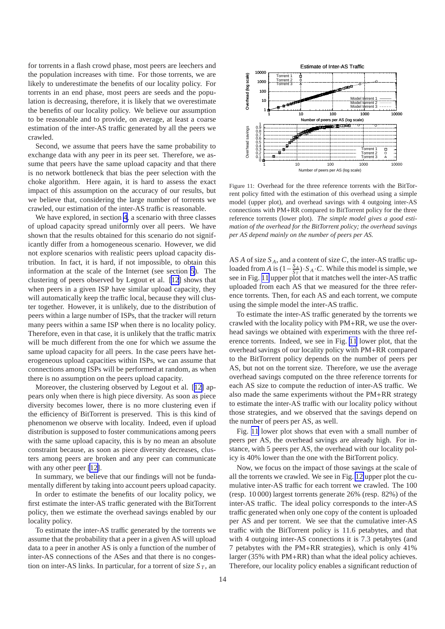for torrents in a flash crowd phase, most peers are leechers and the population increases with time. For those torrents, we are likely to underestimate the benefits of our locality policy. For torrents in an end phase, most peers are seeds and the population is decreasing, therefore, it is likely that we overestimate the benefits of our locality policy. We believe our assumption to be reasonable and to provide, on average, at least a coarse estimation of the inter-AS traffic generated by all the peers we crawled.

Second, we assume that peers have the same probability to exchange data with any peer in its peer set. Therefore, we assume that peers have the same upload capacity and that there is no network bottleneck that bias the peer selection with the choke algorithm. Here again, it is hard to assess the exact impact of this assumption on the accuracy of our results, but we believe that, considering the large number of torrents we crawled, our estimation of the inter-AS traffic is reasonable.

We have explored, in section [4](#page-6-0), a scenario with three classes of upload capacity spread uniformly over all peers. We have shown that the results obtained for this scenario do not significantly differ from a homogeneous scenario. However, we did not explore scenarios with realistic peers upload capacity distribution. In fact, it is hard, if not impossible, to obtain this information at the scale of the Internet (see section [5](#page-8-0)). The clustering of peers observed by Legout et al. [\[12](#page-16-0)] shows that when peers in a given ISP have similar upload capacity, they will automatically keep the traffic local, because they will cluster together. However, it is unlikely, due to the distribution of peers within a large number of ISPs, that the tracker will return many peers within a same ISP when there is no locality policy. Therefore, even in that case, it is unlikely that the traffic matrix will be much different from the one for which we assume the same upload capacity for all peers. In the case peers have heterogeneous upload capacities within ISPs, we can assume that connections among ISPs will be performed at random, as when there is no assumption on the peers upload capacity.

Moreover, the clustering observed by Legout et al. [[12\]](#page-16-0) appears only when there is high piece diversity. As soon as piece diversity becomes lower, there is no more clustering even if the efficiency of BitTorrent is preserved. This is this kind of phenomenon we observe with locality. Indeed, even if upload distribution is supposed to foster communications among peers with the same upload capacity, this is by no mean an absolute constraint because, as soon as piece diversity decreases, clusters among peers are broken and any peer can communicate with any other peer [\[12\]](#page-16-0).

In summary, we believe that our findings will not be fundamentally different by taking into account peers upload capacity.

In order to estimate the benefits of our locality policy, we first estimate the inter-AS traffic generated with the BitTorrent policy, then we estimate the overhead savings enabled by our locality policy.

To estimate the inter-AS traffic generated by the torrents we assume that the probability that a peer in a given AS will upload data to a peer in another AS is only a function of the number of inter-AS connections of the ASes and that there is no congestion on inter-AS links. In particular, for a torrent of size  $S_T$ , an



Figure 11: Overhead for the three reference torrents with the BitTorrent policy fitted with the estimation of this overhead using a simple model (upper plot), and overhead savings with 4 outgoing inter-AS connections with PM+RR compared to BitTorrent policy for the three reference torrents (lower plot). *The simple model gives a good estimation of the overhead for the BitTorrent policy; the overhead savings per AS depend mainly on the number of peers per AS.*

AS *A* of size *S <sup>A</sup>*, and a content of size *C*, the inter-AS traffic uploaded from *A* is  $(1 - \frac{S_A}{S_T}) \cdot S_A \cdot C$ . While this model is simple, we see in Fig. 11 upper plot that it matches well the inter-AS traffic uploaded from each AS that we measured for the three reference torrents. Then, for each AS and each torrent, we compute using the simple model the inter-AS traffic.

To estimate the inter-AS traffic generated by the torrents we crawled with the locality policy with PM+RR, we use the overhead savings we obtained with experiments with the three reference torrents. Indeed, we see in Fig. 11 lower plot, that the overhead savings of our locality policy with PM+RR compared to the BitTorrent policy depends on the number of peers per AS, but not on the torrent size. Therefore, we use the average overhead savings computed on the three reference torrents for each AS size to compute the reduction of inter-AS traffic. We also made the same experiments without the PM+RR strategy to estimate the inter-AS traffic with our locality policy without those strategies, and we observed that the savings depend on the number of peers per AS, as well.

Fig. 11 lower plot shows that even with a small number of peers per AS, the overhead savings are already high. For instance, with 5 peers per AS, the overhead with our locality policy is 40% lower than the one with the BitTorrent policy.

Now, we focus on the impact of those savings at the scale of all the torrents we crawled. We see in Fig. [12](#page-15-0) upper plot the cumulative inter-AS traffic for each torrent we crawled. The 100 (resp. 10 000) largest torrents generate 26% (resp. 82%) of the inter-AS traffic. The ideal policy corresponds to the inter-AS traffic generated when only one copy of the content is uploaded per AS and per torrent. We see that the cumulative inter-AS traffic with the BitTorrent policy is 11.6 petabytes, and that with 4 outgoing inter-AS connections it is 7.3 petabytes (and 7 petabytes with the PM+RR strategies), which is only 41% larger (35% with PM+RR) than what the ideal policy achieves. Therefore, our locality policy enables a significant reduction of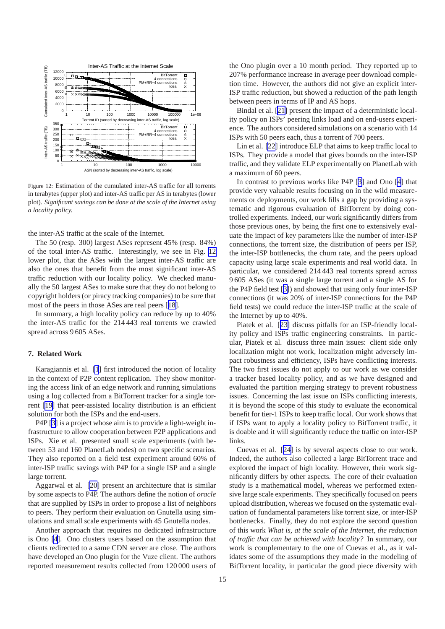<span id="page-15-0"></span>

Figure 12: Estimation of the cumulated inter-AS traffic for all torrents in terabytes (upper plot) and inter-AS traffic per AS in terabytes (lower plot). *Significant savings can be done at the scale of the Internet using a locality policy.*

the inter-AS traffic at the scale of the Internet.

The 50 (resp. 300) largest ASes represent 45% (resp. 84%) of the total inter-AS traffic. Interestingly, we see in Fig. 12 lower plot, that the ASes with the largest inter-AS traffic are also the ones that benefit from the most significant inter-AS traffic reduction with our locality policy. We checked manually the 50 largest ASes to make sure that they do not belong to copyright holders (or piracy tracking companies) to be sure that most of the peers in those ASes are real peers [[18\]](#page-16-0).

In summary, a high locality policy can reduce by up to 40% the inter-AS traffic for the 214 443 real torrents we crawled spread across 9 605 ASes.

#### **7. Related Work**

Karagiannis et al. [\[1](#page-16-0)] first introduced the notion of locality in the context of P2P content replication. They show monitoring the access link of an edge network and running simulations using a log collected from a BitTorrent tracker for a single torrent [\[19\]](#page-16-0) that peer-assisted locality distribution is an efficient solution for both the ISPs and the end-users.

P4P [\[3](#page-16-0)] is a project whose aim is to provide a light-weight infrastructure to allow cooperation between P2P applications and ISPs. Xie et al. presented small scale experiments (with between 53 and 160 PlanetLab nodes) on two specific scenarios. They also reported on a field test experiment around 60% of inter-ISP traffic savings with P4P for a single ISP and a single large torrent.

Aggarwal et al. [[20\]](#page-16-0) present an architecture that is similar by some aspects to P4P. The authors define the notion of *oracle* that are supplied by ISPs in order to propose a list of neighbors to peers. They perform their evaluation on Gnutella using simulations and small scale experiments with 45 Gnutella nodes.

Another approach that requires no dedicated infrastructure is Ono [\[4](#page-16-0)]. Ono clusters users based on the assumption that clients redirected to a same CDN server are close. The authors have developed an Ono plugin for the Vuze client. The authors reported measurement results collected from 120 000 users of

the Ono plugin over a 10 month period. They reported up to 207% performance increase in average peer download completion time. However, the authors did not give an explicit inter-ISP traffic reduction, but showed a reduction of the path length between peers in terms of IP and AS hops.

Bindal et al. [[21](#page-16-0)] present the impact of a deterministic locality policy on ISPs' peering links load and on end-users experience. The authors considered simulations on a scenario with 14 ISPs with 50 peers each, thus a torrent of 700 peers.

Lin et al. [\[22](#page-16-0)] introduce ELP that aims to keep traffic local to ISPs. They provide a model that gives bounds on the inter-ISP traffic, and they validate ELP experimentally on PlanetLab with a maximum of 60 peers.

In contrast to previous works like P4P [[3\]](#page-16-0) and Ono [\[4](#page-16-0)] that provide very valuable results focusing on in the wild measurements or deployments, our work fills a gap by providing a systematic and rigorous evaluation of BitTorrent by doing controlled experiments. Indeed, our work significantly differs from those previous ones, by being the first one to extensively evaluate the impact of key parameters like the number of inter-ISP connections, the torrent size, the distribution of peers per ISP, the inter-ISP bottlenecks, the churn rate, and the peers upload capacity using large scale experiments and real world data. In particular, we considered 214 443 real torrents spread across 9 605 ASes (it was a single large torrent and a single AS for the P4P field test [[3\]](#page-16-0)) and showed that using only four inter-ISP connections (it was 20% of inter-ISP connections for the P4P field tests) we could reduce the inter-ISP traffic at the scale of the Internet by up to 40%.

Piatek et al. [[23\]](#page-16-0) discuss pitfalls for an ISP-friendly locality policy and ISPs traffic engineering constraints. In particular, Piatek et al. discuss three main issues: client side only localization might not work, localization might adversely impact robustness and efficiency, ISPs have conflicting interests. The two first issues do not apply to our work as we consider a tracker based locality policy, and as we have designed and evaluated the partition merging strategy to prevent robustness issues. Concerning the last issue on ISPs conflicting interests, it is beyond the scope of this study to evaluate the economical benefit for tier-1 ISPs to keep traffic local. Our work shows that if ISPs want to apply a locality policy to BitTorrent traffic, it is doable and it will significantly reduce the traffic on inter-ISP links.

Cuevas et al. [[24\]](#page-16-0) is by several aspects close to our work. Indeed, the authors also collected a large BitTorrent trace and explored the impact of high locality. However, their work significantly differs by other aspects. The core of their evaluation study is a mathematical model, whereas we performed extensive large scale experiments. They specifically focused on peers upload distribution, whereas we focused on the systematic evaluation of fundamental parameters like torrent size, or inter-ISP bottlenecks. Finally, they do not explore the second question of this work *What is, at the scale of the Internet, the reduction of tra*ffi*c that can be achieved with locality?* In summary, our work is complementary to the one of Cuevas et al., as it validates some of the assumptions they made in the modeling of BitTorrent locality, in particular the good piece diversity with